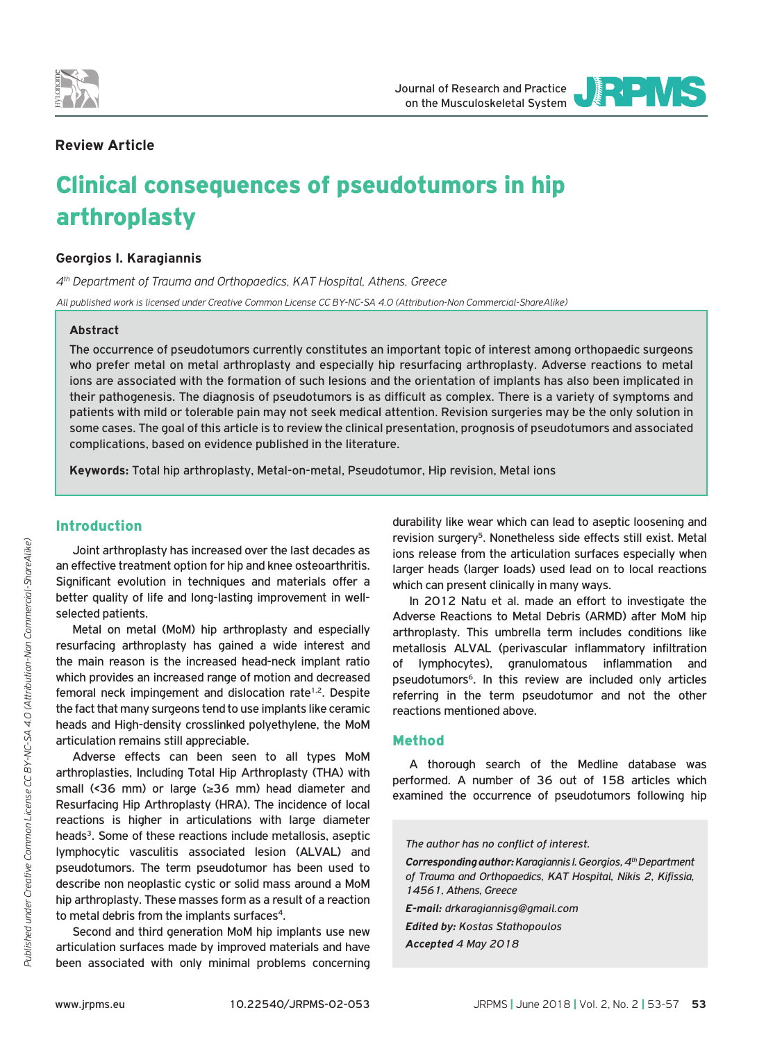



# **Review Article**

# Clinical consequences of pseudotumors in hip arthroplasty

# **Georgios I. Karagiannis**

*4th Department of Trauma and Orthopaedics, KAT Hospital, Athens, Greece All published work is licensed under Creative Common License CC BY-NC-SA 4.0 (Attribution-Non Commercial-ShareAlike)*

## **Abstract**

The occurrence of pseudotumors currently constitutes an important topic of interest among orthopaedic surgeons who prefer metal on metal arthroplasty and especially hip resurfacing arthroplasty. Adverse reactions to metal ions are associated with the formation of such lesions and the orientation of implants has also been implicated in their pathogenesis. The diagnosis of pseudotumors is as difficult as complex. There is a variety of symptoms and patients with mild or tolerable pain may not seek medical attention. Revision surgeries may be the only solution in some cases. The goal of this article is to review the clinical presentation, prognosis of pseudotumors and associated complications, based on evidence published in the literature.

**Keywords:** Total hip arthroplasty, Metal-on-metal, Pseudotumor, Hip revision, Metal ions

# Introduction

Joint arthroplasty has increased over the last decades as an effective treatment option for hip and knee osteoarthritis. Significant evolution in techniques and materials offer a better quality of life and long-lasting improvement in wellselected patients.

Metal on metal (MoM) hip arthroplasty and especially resurfacing arthroplasty has gained a wide interest and the main reason is the increased head-neck implant ratio which provides an increased range of motion and decreased femoral neck impingement and dislocation rate<sup>1,2</sup>. Despite the fact that many surgeons tend to use implants like ceramic heads and High-density crosslinked polyethylene, the MoM articulation remains still appreciable.

Adverse effects can been seen to all types MoM arthroplasties, Including Total Hip Arthroplasty (THA) with small (<36 mm) or large (≥36 mm) head diameter and Resurfacing Hip Arthroplasty (HRA). The incidence of local reactions is higher in articulations with large diameter heads<sup>3</sup>. Some of these reactions include metallosis, aseptic lymphocytic vasculitis associated lesion (ALVAL) and pseudotumors. The term pseudotumor has been used to describe non neoplastic cystic or solid mass around a MoM hip arthroplasty. These masses form as a result of a reaction to metal debris from the implants surfaces<sup>4</sup>.

Second and third generation MoM hip implants use new articulation surfaces made by improved materials and have been associated with only minimal problems concerning

durability like wear which can lead to aseptic loosening and revision surgery<sup>5</sup>. Nonetheless side effects still exist. Metal ions release from the articulation surfaces especially when larger heads (larger loads) used lead on to local reactions which can present clinically in many ways.

In 2012 Natu et al. made an effort to investigate the Adverse Reactions to Metal Debris (ARMD) after MoM hip arthroplasty. This umbrella term includes conditions like metallosis ALVAL (perivascular inflammatory infiltration of lymphocytes), granulomatous inflammation and pseudotumors<sup>6</sup>. In this review are included only articles referring in the term pseudotumor and not the other reactions mentioned above.

#### Method

A thorough search of the Medline database was performed. A number of 36 out of 158 articles which examined the occurrence of pseudotumors following hip

*The author has no conflict of interest.*

*Corresponding author: Karagiannis I. Georgios, 4th Department of Trauma and Orthopaedics, KAT Hospital, Nikis 2, Kifissia, 14561, Athens, Greece* 

*E-mail: drkaragiannisg@gmail.com*

*Edited by: Kostas Stathopoulos*

*Accepted 4 May 2018*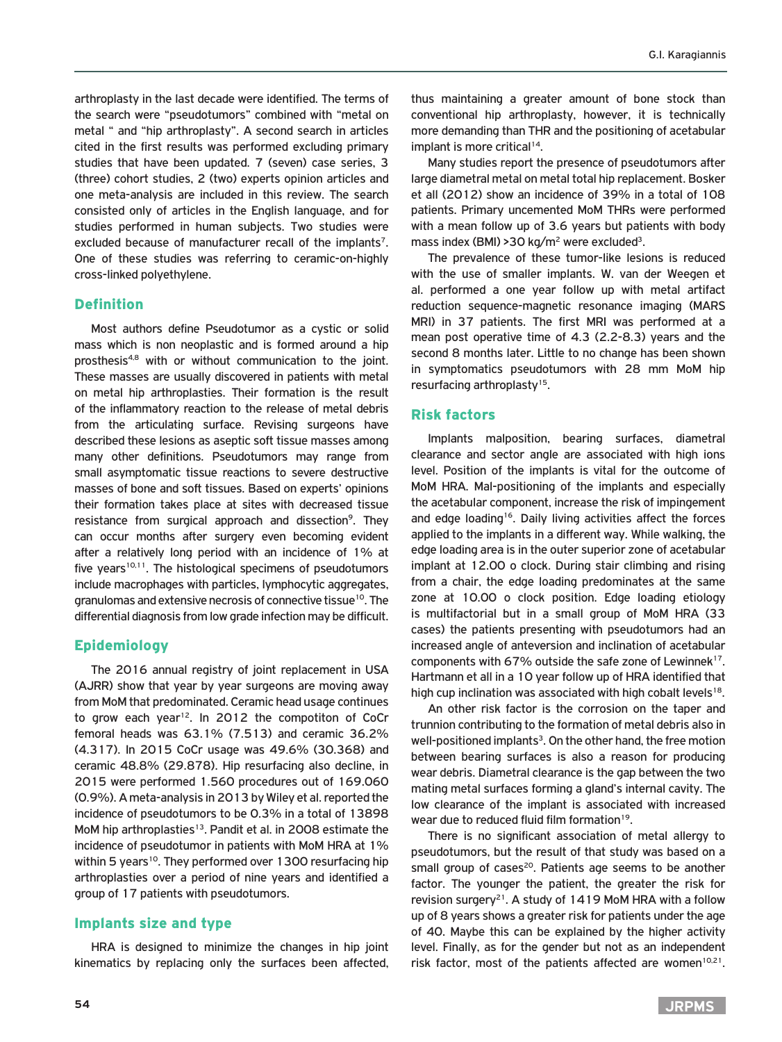arthroplasty in the last decade were identified. The terms of the search were "pseudotumors" combined with "metal on metal " and "hip arthroplasty". A second search in articles cited in the first results was performed excluding primary studies that have been updated. 7 (seven) case series, 3 (three) cohort studies, 2 (two) experts opinion articles and one meta-analysis are included in this review. The search consisted only of articles in the English language, and for studies performed in human subjects. Two studies were excluded because of manufacturer recall of the implants<sup>7</sup>. One of these studies was referring to ceramic-on-highly cross-linked polyethylene.

## Definition

Most authors define Pseudotumor as a cystic or solid mass which is non neoplastic and is formed around a hip prosthesis4,8 with or without communication to the joint. These masses are usually discovered in patients with metal on metal hip arthroplasties. Their formation is the result of the inflammatory reaction to the release of metal debris from the articulating surface. Revising surgeons have described these lesions as aseptic soft tissue masses among many other definitions. Pseudotumors may range from small asymptomatic tissue reactions to severe destructive masses of bone and soft tissues. Based on experts' opinions their formation takes place at sites with decreased tissue resistance from surgical approach and dissection<sup>9</sup>. They can occur months after surgery even becoming evident after a relatively long period with an incidence of 1% at five years $10,11$ . The histological specimens of pseudotumors include macrophages with particles, lymphocytic aggregates, granulomas and extensive necrosis of connective tissue10. The differential diagnosis from low grade infection may be difficult.

#### Epidemiology

The 2016 annual registry of joint replacement in USA (AJRR) show that year by year surgeons are moving away from MoM that predominated. Ceramic head usage continues to grow each year<sup>12</sup>. In 2012 the compotiton of CoCr femoral heads was 63.1% (7.513) and ceramic 36.2% (4.317). In 2015 CoCr usage was 49.6% (30.368) and ceramic 48.8% (29.878). Hip resurfacing also decline, in 2015 were performed 1.560 procedures out of 169.060 (0.9%). A meta-analysis in 2013 by Wiley et al. reported the incidence of pseudotumors to be 0.3% in a total of 13898 MoM hip arthroplasties<sup>13</sup>. Pandit et al. in 2008 estimate the incidence of pseudotumor in patients with MoM HRA at 1% within 5 years<sup>10</sup>. They performed over 1300 resurfacing hip arthroplasties over a period of nine years and identified a group of 17 patients with pseudotumors.

## Implants size and type

HRA is designed to minimize the changes in hip joint kinematics by replacing only the surfaces been affected,

thus maintaining a greater amount of bone stock than conventional hip arthroplasty, however, it is technically more demanding than THR and the positioning of acetabular implant is more critical<sup>14</sup>.

Many studies report the presence of pseudotumors after large diametral metal on metal total hip replacement. Bosker et all (2012) show an incidence of 39% in a total of 108 patients. Primary uncemented MoM THRs were performed with a mean follow up of 3.6 years but patients with body mass index (BMI) > 30 kg/m<sup>2</sup> were excluded<sup>3</sup>.

The prevalence of these tumor-like lesions is reduced with the use of smaller implants. W. van der Weegen et al. performed a one year follow up with metal artifact reduction sequence-magnetic resonance imaging (MARS MRI) in 37 patients. The first MRI was performed at a mean post operative time of 4.3 (2.2-8.3) years and the second 8 months later. Little to no change has been shown in symptomatics pseudotumors with 28 mm MoM hip resurfacing arthroplasty<sup>15</sup>.

#### Risk factors

Implants malposition, bearing surfaces, diametral clearance and sector angle are associated with high ions level. Position of the implants is vital for the outcome of MoM HRA. Mal-positioning of the implants and especially the acetabular component, increase the risk of impingement and edge loading<sup>16</sup>. Daily living activities affect the forces applied to the implants in a different way. While walking, the edge loading area is in the outer superior zone of acetabular implant at 12.00 o clock. During stair climbing and rising from a chair, the edge loading predominates at the same zone at 10.00 o clock position. Edge loading etiology is multifactorial but in a small group of MoM HRA (33 cases) the patients presenting with pseudotumors had an increased angle of anteversion and inclination of acetabular components with 67% outside the safe zone of Lewinnek<sup>17</sup>. Hartmann et all in a 10 year follow up of HRA identified that high cup inclination was associated with high cobalt levels<sup>18</sup>.

An other risk factor is the corrosion on the taper and trunnion contributing to the formation of metal debris also in well-positioned implants<sup>3</sup>. On the other hand, the free motion between bearing surfaces is also a reason for producing wear debris. Diametral clearance is the gap between the two mating metal surfaces forming a gland's internal cavity. The low clearance of the implant is associated with increased wear due to reduced fluid film formation<sup>19</sup>.

There is no significant association of metal allergy to pseudotumors, but the result of that study was based on a small group of cases<sup>20</sup>. Patients age seems to be another factor. The younger the patient, the greater the risk for revision surgery<sup>21</sup>. A study of 1419 MoM HRA with a follow up of 8 years shows a greater risk for patients under the age of 40. Maybe this can be explained by the higher activity level. Finally, as for the gender but not as an independent risk factor, most of the patients affected are women $10,21$ .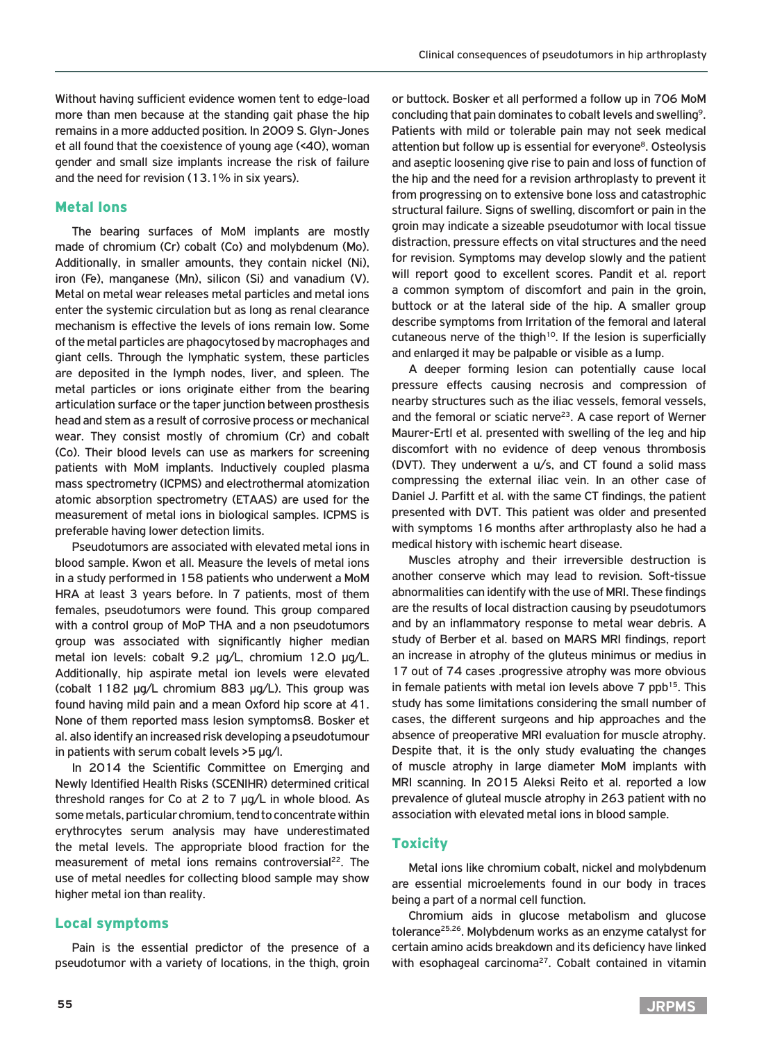Without having sufficient evidence women tent to edge-load more than men because at the standing gait phase the hip remains in a more adducted position. In 2009 S. Glyn-Jones et all found that the coexistence of young age (<40), woman gender and small size implants increase the risk of failure and the need for revision (13.1% in six years).

# Metal Ions

The bearing surfaces of MoM implants are mostly made of chromium (Cr) cobalt (Co) and molybdenum (Mo). Additionally, in smaller amounts, they contain nickel (Ni), iron (Fe), manganese (Mn), silicon (Si) and vanadium (V). Metal on metal wear releases metal particles and metal ions enter the systemic circulation but as long as renal clearance mechanism is effective the levels of ions remain low. Some of the metal particles are phagocytosed by macrophages and giant cells. Through the lymphatic system, these particles are deposited in the lymph nodes, liver, and spleen. The metal particles or ions originate either from the bearing articulation surface or the taper junction between prosthesis head and stem as a result of corrosive process or mechanical wear. They consist mostly of chromium (Cr) and cobalt (Co). Their blood levels can use as markers for screening patients with MoM implants. Inductively coupled plasma mass spectrometry (ICPMS) and electrothermal atomization atomic absorption spectrometry (ETAAS) are used for the measurement of metal ions in biological samples. ICPMS is preferable having lower detection limits.

Pseudotumors are associated with elevated metal ions in blood sample. Kwon et all. Measure the levels of metal ions in a study performed in 158 patients who underwent a MoM HRA at least 3 years before. In 7 patients, most of them females, pseudotumors were found. This group compared with a control group of MoP THA and a non pseudotumors group was associated with significantly higher median metal ion levels: cobalt 9.2 μg/L, chromium 12.0 μg/L. Additionally, hip aspirate metal ion levels were elevated (cobalt 1182 μg/L chromium 883 μg/L). This group was found having mild pain and a mean Oxford hip score at 41. None of them reported mass lesion symptoms8. Bosker et al. also identify an increased risk developing a pseudotumour in patients with serum cobalt levels >5 μg/l.

In 2014 the Scientific Committee on Emerging and Newly Identified Health Risks (SCENIHR) determined critical threshold ranges for Co at 2 to 7 μg/L in whole blood. As some metals, particular chromium, tend to concentrate within erythrocytes serum analysis may have underestimated the metal levels. The appropriate blood fraction for the measurement of metal ions remains controversial<sup>22</sup>. The use of metal needles for collecting blood sample may show higher metal ion than reality.

## Local symptoms

Pain is the essential predictor of the presence of a pseudotumor with a variety of locations, in the thigh, groin or buttock. Bosker et all performed a follow up in 706 MoM concluding that pain dominates to cobalt levels and swelling9. Patients with mild or tolerable pain may not seek medical attention but follow up is essential for everyone<sup>8</sup>. Osteolysis and aseptic loosening give rise to pain and loss of function of the hip and the need for a revision arthroplasty to prevent it from progressing on to extensive bone loss and catastrophic structural failure. Signs of swelling, discomfort or pain in the groin may indicate a sizeable pseudotumor with local tissue distraction, pressure effects on vital structures and the need for revision. Symptoms may develop slowly and the patient will report good to excellent scores. Pandit et al. report a common symptom of discomfort and pain in the groin, buttock or at the lateral side of the hip. A smaller group describe symptoms from Irritation of the femoral and lateral cutaneous nerve of the thigh<sup>10</sup>. If the lesion is superficially and enlarged it may be palpable or visible as a lump.

A deeper forming lesion can potentially cause local pressure effects causing necrosis and compression of nearby structures such as the iliac vessels, femoral vessels, and the femoral or sciatic nerve<sup>23</sup>. A case report of Werner Maurer-Ertl et al. presented with swelling of the leg and hip discomfort with no evidence of deep venous thrombosis (DVT). They underwent a u/s, and CT found a solid mass compressing the external iliac vein. In an other case of Daniel J. Parfitt et al. with the same CT findings, the patient presented with DVT. This patient was older and presented with symptoms 16 months after arthroplasty also he had a medical history with ischemic heart disease.

Muscles atrophy and their irreversible destruction is another conserve which may lead to revision. Soft-tissue abnormalities can identify with the use of MRI. These findings are the results of local distraction causing by pseudotumors and by an inflammatory response to metal wear debris. A study of Berber et al. based on MARS MRI findings, report an increase in atrophy of the gluteus minimus or medius in 17 out of 74 cases .progressive atrophy was more obvious in female patients with metal ion levels above  $7$  ppb<sup>15</sup>. This study has some limitations considering the small number of cases, the different surgeons and hip approaches and the absence of preoperative MRI evaluation for muscle atrophy. Despite that, it is the only study evaluating the changes of muscle atrophy in large diameter MoM implants with MRI scanning. In 2015 Aleksi Reito et al. reported a low prevalence of gluteal muscle atrophy in 263 patient with no association with elevated metal ions in blood sample.

# Toxicity

Metal ions like chromium cobalt, nickel and molybdenum are essential microelements found in our body in traces being a part of a normal cell function.

Chromium aids in glucose metabolism and glucose tolerance25,26. Molybdenum works as an enzyme catalyst for certain amino acids breakdown and its deficiency have linked with esophageal carcinoma $27$ . Cobalt contained in vitamin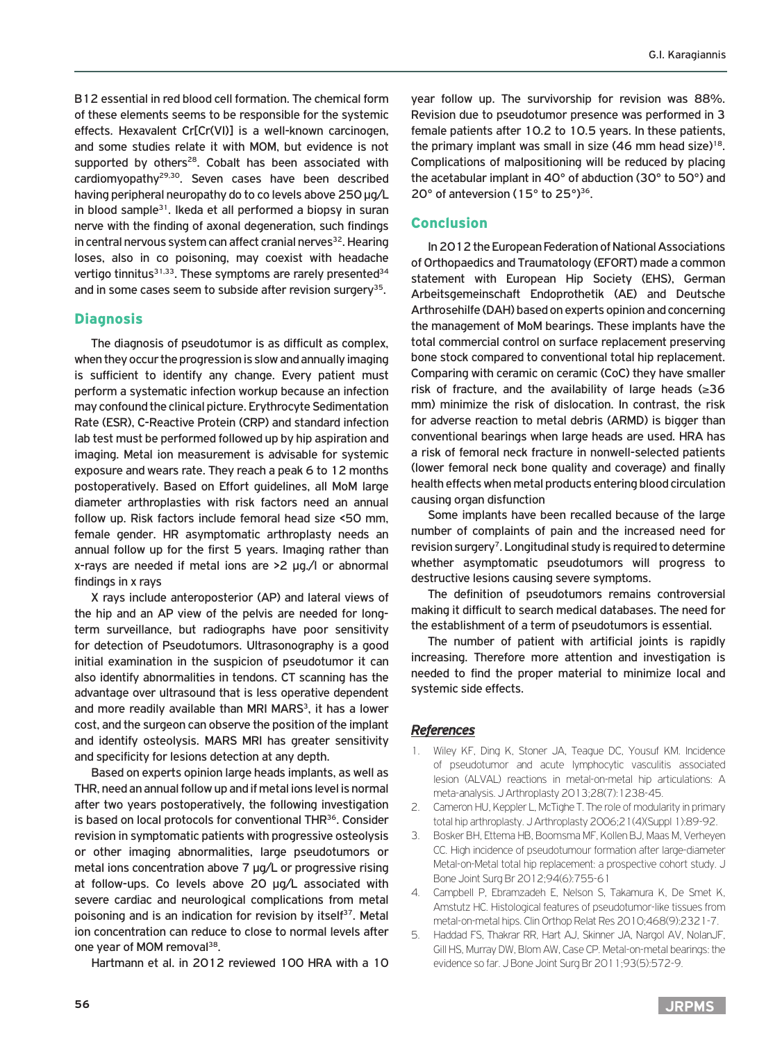B12 essential in red blood cell formation. The chemical form of these elements seems to be responsible for the systemic effects. Hexavalent Cr[Cr(VI)] is a well-known carcinogen, and some studies relate it with MOM, but evidence is not supported by others<sup>28</sup>. Cobalt has been associated with cardiomyopathy29,30. Seven cases have been described having peripheral neuropathy do to co levels above 250 μg/L in blood sample<sup>31</sup>. Ikeda et all performed a biopsy in suran nerve with the finding of axonal degeneration, such findings in central nervous system can affect cranial nerves<sup>32</sup>. Hearing loses, also in co poisoning, may coexist with headache vertigo tinnitus $31,33$ . These symptoms are rarely presented  $34$ and in some cases seem to subside after revision surgery<sup>35</sup>.

## **Diagnosis**

The diagnosis of pseudotumor is as difficult as complex, when they occur the progression is slow and annually imaging is sufficient to identify any change. Every patient must perform a systematic infection workup because an infection may confound the clinical picture. Erythrocyte Sedimentation Rate (ESR), C-Reactive Protein (CRP) and standard infection lab test must be performed followed up by hip aspiration and imaging. Metal ion measurement is advisable for systemic exposure and wears rate. They reach a peak 6 to 12 months postoperatively. Based on Effort guidelines, all MoM large diameter arthroplasties with risk factors need an annual follow up. Risk factors include femoral head size <50 mm, female gender. HR asymptomatic arthroplasty needs an annual follow up for the first 5 years. Imaging rather than x-rays are needed if metal ions are >2 μg./l or abnormal findings in x rays

X rays include anteroposterior (AP) and lateral views of the hip and an AP view of the pelvis are needed for longterm surveillance, but radiographs have poor sensitivity for detection of Pseudotumors. Ultrasonography is a good initial examination in the suspicion of pseudotumor it can also identify abnormalities in tendons. CT scanning has the advantage over ultrasound that is less operative dependent and more readily available than MRI MARS<sup>3</sup>, it has a lower cost, and the surgeon can observe the position of the implant and identify osteolysis. MARS MRI has greater sensitivity and specificity for lesions detection at any depth.

Based on experts opinion large heads implants, as well as THR, need an annual follow up and if metal ions level is normal after two years postoperatively, the following investigation is based on local protocols for conventional THR<sup>36</sup>. Consider revision in symptomatic patients with progressive osteolysis or other imaging abnormalities, large pseudotumors or metal ions concentration above 7 μg/L or progressive rising at follow-ups. Co levels above 20 μg/L associated with severe cardiac and neurological complications from metal poisoning and is an indication for revision by itself<sup>37</sup>. Metal ion concentration can reduce to close to normal levels after one year of MOM removal<sup>38</sup>.

Hartmann et al. in 2012 reviewed 100 HRA with a 10

year follow up. The survivorship for revision was 88%. Revision due to pseudotumor presence was performed in 3 female patients after 10.2 to 10.5 years. In these patients, the primary implant was small in size  $(46 \text{ mm head size})^{18}$ . Complications of malpositioning will be reduced by placing the acetabular implant in 40° of abduction (30° to 50°) and 20° of anteversion (15° to 25°)<sup>36</sup>.

#### Conclusion

In 2012 the European Federation of National Associations of Orthopaedics and Traumatology (EFORT) made a common statement with European Hip Society (EHS), German Arbeitsgemeinschaft Endoprothetik (AE) and Deutsche Arthrosehilfe (DAH) based on experts opinion and concerning the management of MoM bearings. These implants have the total commercial control on surface replacement preserving bone stock compared to conventional total hip replacement. Comparing with ceramic on ceramic (CoC) they have smaller risk of fracture, and the availability of large heads (≥36 mm) minimize the risk of dislocation. In contrast, the risk for adverse reaction to metal debris (ARMD) is bigger than conventional bearings when large heads are used. HRA has a risk of femoral neck fracture in nonwell-selected patients (lower femoral neck bone quality and coverage) and finally health effects when metal products entering blood circulation causing organ disfunction

Some implants have been recalled because of the large number of complaints of pain and the increased need for revision surgery<sup>7</sup>. Longitudinal study is required to determine whether asymptomatic pseudotumors will progress to destructive lesions causing severe symptoms.

The definition of pseudotumors remains controversial making it difficult to search medical databases. The need for the establishment of a term of pseudotumors is essential.

The number of patient with artificial joints is rapidly increasing. Τherefore more attention and investigation is needed to find the proper material to minimize local and systemic side effects.

#### *References*

- 1. Wiley KF, Ding K, Stoner JA, Teague DC, Yousuf KM. Incidence of pseudotumor and acute lymphocytic vasculitis associated lesion (ALVAL) reactions in metal-on-metal hip articulations: A meta‑analysis. J Arthroplasty 2013;28(7):1238-45.
- 2. Cameron HU, Keppler L, McTighe T. The role of modularity in primary total hip arthroplasty. J Arthroplasty 2006;21(4)(Suppl 1):89-92.
- 3. Bosker BH, Ettema HB, Boomsma MF, Kollen BJ, Maas M, Verheyen CC. High incidence of pseudotumour formation after large-diameter Metal-on-Metal total hip replacement: a prospective cohort study. J Bone Joint Surg Br 2012;94(6):755-61
- 4. Campbell P, Ebramzadeh E, Nelson S, Takamura K, De Smet K, Amstutz HC. Histological features of pseudotumor‑like tissues from metal-on-metal hips. Clin Orthop Relat Res 2010;468(9):2321-7.
- 5. Haddad FS, Thakrar RR, Hart AJ, Skinner JA, Nargol AV, NolanJF, Gill HS, Murray DW, Blom AW, Case CP. Metal-on-metal bearings: the evidence so far. J Bone Joint Surg Br 2011;93(5):572-9.